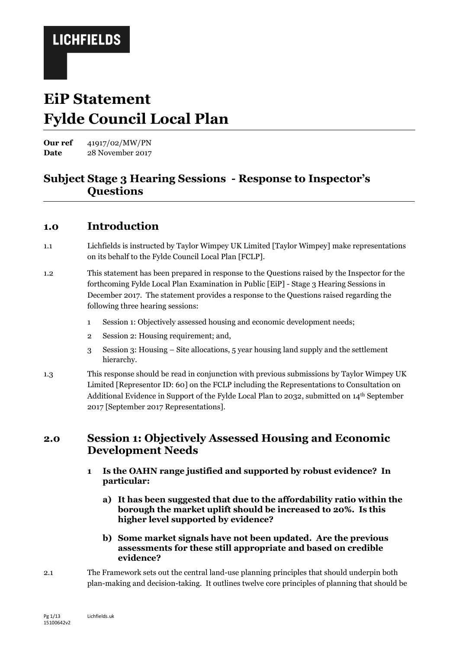# **EiP Statement Fylde Council Local Plan**

**Our ref** 41917/02/MW/PN Date 28 November 2017

### **Subject Stage 3 Hearing Sessions - Response to Inspector's Questions**

#### **1.0 Introduction**

- 1.1 Lichfields is instructed by Taylor Wimpey UK Limited [Taylor Wimpey] make representations on its behalf to the Fylde Council Local Plan [FCLP].
- 1.2 This statement has been prepared in response to the Questions raised by the Inspector for the forthcoming Fylde Local Plan Examination in Public [EiP] - Stage 3 Hearing Sessions in December 2017. The statement provides a response to the Questions raised regarding the following three hearing sessions:
	- 1 Session 1: Objectively assessed housing and economic development needs;
	- 2 Session 2: Housing requirement; and,
	- 3 Session 3: Housing Site allocations, 5 year housing land supply and the settlement hierarchy.
- 1.3 This response should be read in conjunction with previous submissions by Taylor Wimpey UK Limited [Representor ID: 60] on the FCLP including the Representations to Consultation on Additional Evidence in Support of the Fylde Local Plan to 2032, submitted on 14th September 2017 [September 2017 Representations].

### **2.0 Session 1: Objectively Assessed Housing and Economic Development Needs**

- **1 Is the OAHN range justified and supported by robust evidence? In particular:**
	- **a) It has been suggested that due to the affordability ratio within the borough the market uplift should be increased to 20%. Is this higher level supported by evidence?**
	- **b) Some market signals have not been updated. Are the previous assessments for these still appropriate and based on credible evidence?**
- 2.1 The Framework sets out the central land-use planning principles that should underpin both plan-making and decision-taking. It outlines twelve core principles of planning that should be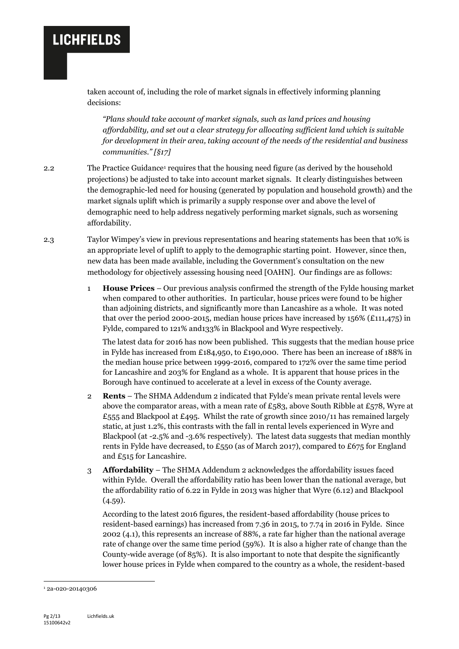taken account of, including the role of market signals in effectively informing planning decisions:

*"Plans should take account of market signals, such as land prices and housing affordability, and set out a clear strategy for allocating sufficient land which is suitable for development in their area, taking account of the needs of the residential and business communities." [§17]*

- 2.2 The Practice Guidance<sup>1</sup> requires that the housing need figure (as derived by the household projections) be adjusted to take into account market signals. It clearly distinguishes between the demographic-led need for housing (generated by population and household growth) and the market signals uplift which is primarily a supply response over and above the level of demographic need to help address negatively performing market signals, such as worsening affordability.
- 2.3 Taylor Wimpey's view in previous representations and hearing statements has been that 10% is an appropriate level of uplift to apply to the demographic starting point. However, since then, new data has been made available, including the Government's consultation on the new methodology for objectively assessing housing need [OAHN]. Our findings are as follows:
	- 1 **House Prices** Our previous analysis confirmed the strength of the Fylde housing market when compared to other authorities. In particular, house prices were found to be higher than adjoining districts, and significantly more than Lancashire as a whole. It was noted that over the period 2000-2015, median house prices have increased by 156% (£111,475) in Fylde, compared to 121% and133% in Blackpool and Wyre respectively.

The latest data for 2016 has now been published. This suggests that the median house price in Fylde has increased from £184,950, to £190,000. There has been an increase of 188% in the median house price between 1999-2016, compared to 172% over the same time period for Lancashire and 203% for England as a whole. It is apparent that house prices in the Borough have continued to accelerate at a level in excess of the County average.

- 2 **Rents** The SHMA Addendum 2 indicated that Fylde's mean private rental levels were above the comparator areas, with a mean rate of  $\pounds$ 583, above South Ribble at  $\pounds$ 578, Wyre at  $£555$  and Blackpool at £495. Whilst the rate of growth since 2010/11 has remained largely static, at just 1.2%, this contrasts with the fall in rental levels experienced in Wyre and Blackpool (at -2.5% and -3.6% respectively). The latest data suggests that median monthly rents in Fylde have decreased, to £550 (as of March 2017), compared to £675 for England and £515 for Lancashire.
- 3 **Affordability**  The SHMA Addendum 2 acknowledges the affordability issues faced within Fylde. Overall the affordability ratio has been lower than the national average, but the affordability ratio of 6.22 in Fylde in 2013 was higher that Wyre (6.12) and Blackpool (4.59).

According to the latest 2016 figures, the resident-based affordability (house prices to resident-based earnings) has increased from 7.36 in 2015, to 7.74 in 2016 in Fylde. Since 2002 (4.1), this represents an increase of 88%, a rate far higher than the national average rate of change over the same time period (59%). It is also a higher rate of change than the County-wide average (of 85%). It is also important to note that despite the significantly lower house prices in Fylde when compared to the country as a whole, the resident-based

-

<sup>1</sup> 2a-020-20140306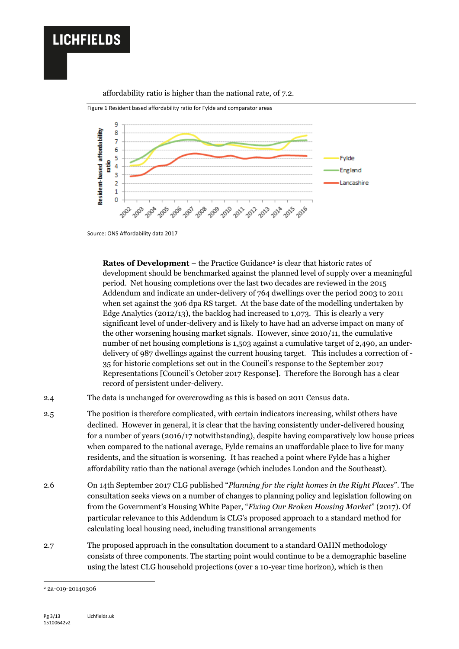

#### affordability ratio is higher than the national rate, of 7.2.



Source: ONS Affordability data 2017

**Rates of Development** – the Practice Guidance<sup>2</sup> is clear that historic rates of development should be benchmarked against the planned level of supply over a meaningful period. Net housing completions over the last two decades are reviewed in the 2015 Addendum and indicate an under-delivery of 764 dwellings over the period 2003 to 2011 when set against the 306 dpa RS target. At the base date of the modelling undertaken by Edge Analytics (2012/13), the backlog had increased to 1,073. This is clearly a very significant level of under-delivery and is likely to have had an adverse impact on many of the other worsening housing market signals. However, since 2010/11, the cumulative number of net housing completions is 1,503 against a cumulative target of 2,490, an underdelivery of 987 dwellings against the current housing target. This includes a correction of - 35 for historic completions set out in the Council's response to the September 2017 Representations [Council's October 2017 Response]. Therefore the Borough has a clear record of persistent under-delivery.

- 2.4 The data is unchanged for overcrowding as this is based on 2011 Census data.
- 2.5 The position is therefore complicated, with certain indicators increasing, whilst others have declined. However in general, it is clear that the having consistently under-delivered housing for a number of years (2016/17 notwithstanding), despite having comparatively low house prices when compared to the national average, Fylde remains an unaffordable place to live for many residents, and the situation is worsening. It has reached a point where Fylde has a higher affordability ratio than the national average (which includes London and the Southeast).
- 2.6 On 14th September 2017 CLG published "*Planning for the right homes in the Right Places*". The consultation seeks views on a number of changes to planning policy and legislation following on from the Government's Housing White Paper, "*Fixing Our Broken Housing Market*" (2017). Of particular relevance to this Addendum is CLG's proposed approach to a standard method for calculating local housing need, including transitional arrangements
- 2.7 The proposed approach in the consultation document to a standard OAHN methodology consists of three components. The starting point would continue to be a demographic baseline using the latest CLG household projections (over a 10-year time horizon), which is then

-

<sup>2</sup> 2a-019-20140306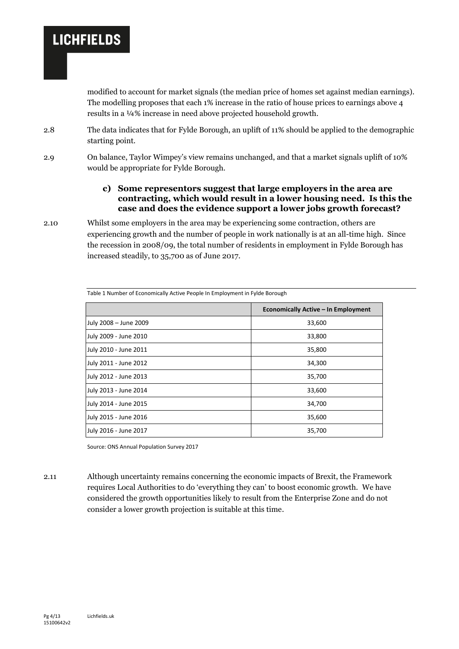modified to account for market signals (the median price of homes set against median earnings). The modelling proposes that each 1% increase in the ratio of house prices to earnings above 4 results in a ¼% increase in need above projected household growth.

- 2.8 The data indicates that for Fylde Borough, an uplift of 11% should be applied to the demographic starting point.
- 2.9 On balance, Taylor Wimpey's view remains unchanged, and that a market signals uplift of 10% would be appropriate for Fylde Borough.

#### **c) Some representors suggest that large employers in the area are contracting, which would result in a lower housing need. Is this the case and does the evidence support a lower jobs growth forecast?**

2.10 Whilst some employers in the area may be experiencing some contraction, others are experiencing growth and the number of people in work nationally is at an all-time high. Since the recession in 2008/09, the total number of residents in employment in Fylde Borough has increased steadily, to 35,700 as of June 2017.

|                       | Economically Active - In Employment |  |  |  |  |  |
|-----------------------|-------------------------------------|--|--|--|--|--|
| July 2008 - June 2009 | 33,600                              |  |  |  |  |  |
| July 2009 - June 2010 | 33,800                              |  |  |  |  |  |
| July 2010 - June 2011 | 35,800                              |  |  |  |  |  |
| July 2011 - June 2012 | 34,300                              |  |  |  |  |  |
| July 2012 - June 2013 | 35,700                              |  |  |  |  |  |
| July 2013 - June 2014 | 33,600                              |  |  |  |  |  |
| July 2014 - June 2015 | 34,700                              |  |  |  |  |  |
| July 2015 - June 2016 | 35,600                              |  |  |  |  |  |
| July 2016 - June 2017 | 35,700                              |  |  |  |  |  |

Table 1 Number of Economically Active People In Employment in Fylde Borough

Source: ONS Annual Population Survey 2017

2.11 Although uncertainty remains concerning the economic impacts of Brexit, the Framework requires Local Authorities to do 'everything they can' to boost economic growth. We have considered the growth opportunities likely to result from the Enterprise Zone and do not consider a lower growth projection is suitable at this time.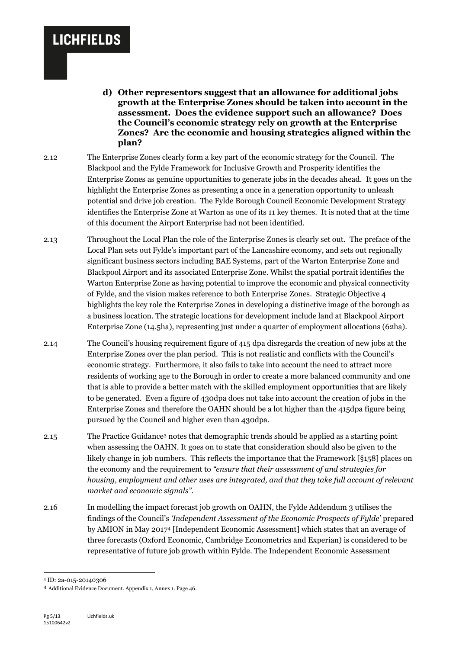- **d) Other representors suggest that an allowance for additional jobs growth at the Enterprise Zones should be taken into account in the assessment. Does the evidence support such an allowance? Does the Council's economic strategy rely on growth at the Enterprise Zones? Are the economic and housing strategies aligned within the plan?**
- 2.12 The Enterprise Zones clearly form a key part of the economic strategy for the Council. The Blackpool and the Fylde Framework for Inclusive Growth and Prosperity identifies the Enterprise Zones as genuine opportunities to generate jobs in the decades ahead. It goes on the highlight the Enterprise Zones as presenting a once in a generation opportunity to unleash potential and drive job creation. The Fylde Borough Council Economic Development Strategy identifies the Enterprise Zone at Warton as one of its 11 key themes. It is noted that at the time of this document the Airport Enterprise had not been identified.
- 2.13 Throughout the Local Plan the role of the Enterprise Zones is clearly set out. The preface of the Local Plan sets out Fylde's important part of the Lancashire economy, and sets out regionally significant business sectors including BAE Systems, part of the Warton Enterprise Zone and Blackpool Airport and its associated Enterprise Zone. Whilst the spatial portrait identifies the Warton Enterprise Zone as having potential to improve the economic and physical connectivity of Fylde, and the vision makes reference to both Enterprise Zones. Strategic Objective 4 highlights the key role the Enterprise Zones in developing a distinctive image of the borough as a business location. The strategic locations for development include land at Blackpool Airport Enterprise Zone (14.5ha), representing just under a quarter of employment allocations (62ha).
- 2.14 The Council's housing requirement figure of 415 dpa disregards the creation of new jobs at the Enterprise Zones over the plan period. This is not realistic and conflicts with the Council's economic strategy. Furthermore, it also fails to take into account the need to attract more residents of working age to the Borough in order to create a more balanced community and one that is able to provide a better match with the skilled employment opportunities that are likely to be generated. Even a figure of 430dpa does not take into account the creation of jobs in the Enterprise Zones and therefore the OAHN should be a lot higher than the 415dpa figure being pursued by the Council and higher even than 430dpa.
- 2.15 The Practice Guidance<sup>3</sup> notes that demographic trends should be applied as a starting point when assessing the OAHN. It goes on to state that consideration should also be given to the likely change in job numbers. This reflects the importance that the Framework [§158] places on the economy and the requirement to *"ensure that their assessment of and strategies for housing, employment and other uses are integrated, and that they take full account of relevant market and economic signals".*
- 2.16 In modelling the impact forecast job growth on OAHN, the Fylde Addendum 3 utilises the findings of the Council's *'Independent Assessment of the Economic Prospects of Fylde'* prepared by AMION in May 2017<sup>4</sup> [Independent Economic Assessment] which states that an average of three forecasts (Oxford Economic, Cambridge Econometrics and Experian) is considered to be representative of future job growth within Fylde. The Independent Economic Assessment

1

<sup>3</sup> ID: 2a-015-20140306

<sup>4</sup> Additional Evidence Document. Appendix 1, Annex 1. Page 46.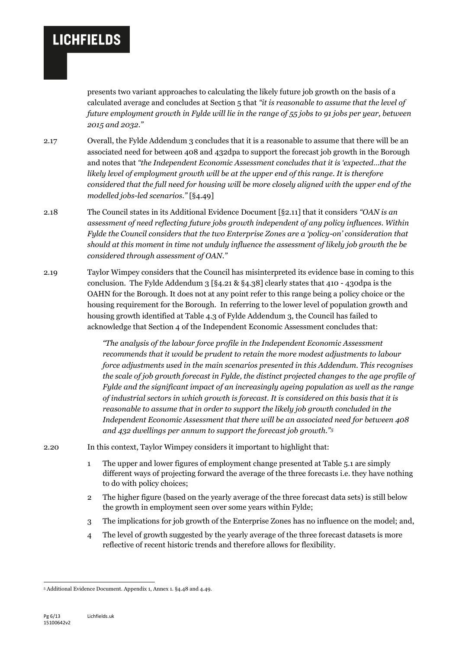presents two variant approaches to calculating the likely future job growth on the basis of a calculated average and concludes at Section 5 that *"it is reasonable to assume that the level of future employment growth in Fylde will lie in the range of 55 jobs to 91 jobs per year, between 2015 and 2032."*

2.17 Overall, the Fylde Addendum 3 concludes that it is a reasonable to assume that there will be an associated need for between 408 and 432dpa to support the forecast job growth in the Borough and notes that *"the Independent Economic Assessment concludes that it is 'expected…that the likely level of employment growth will be at the upper end of this range. It is therefore considered that the full need for housing will be more closely aligned with the upper end of the modelled jobs-led scenarios."* [§4.49]

- 2.18 The Council states in its Additional Evidence Document [§2.11] that it considers *"OAN is an assessment of need reflecting future jobs growth independent of any policy influences. Within Fylde the Council considers that the two Enterprise Zones are a 'policy-on' consideration that should at this moment in time not unduly influence the assessment of likely job growth the be considered through assessment of OAN."*
- 2.19 Taylor Wimpey considers that the Council has misinterpreted its evidence base in coming to this conclusion. The Fylde Addendum 3 [§4.21 & §4.38] clearly states that 410 - 430dpa is the OAHN for the Borough. It does not at any point refer to this range being a policy choice or the housing requirement for the Borough. In referring to the lower level of population growth and housing growth identified at Table 4.3 of Fylde Addendum 3, the Council has failed to acknowledge that Section 4 of the Independent Economic Assessment concludes that:

*"The analysis of the labour force profile in the Independent Economic Assessment recommends that it would be prudent to retain the more modest adjustments to labour force adjustments used in the main scenarios presented in this Addendum. This recognises the scale of job growth forecast in Fylde, the distinct projected changes to the age profile of Fylde and the significant impact of an increasingly ageing population as well as the range of industrial sectors in which growth is forecast. It is considered on this basis that it is reasonable to assume that in order to support the likely job growth concluded in the Independent Economic Assessment that there will be an associated need for between 408 and 432 dwellings per annum to support the forecast job growth."<sup>5</sup>*

- 2.20 In this context, Taylor Wimpey considers it important to highlight that:
	- 1 The upper and lower figures of employment change presented at Table 5.1 are simply different ways of projecting forward the average of the three forecasts i.e. they have nothing to do with policy choices;
	- 2 The higher figure (based on the yearly average of the three forecast data sets) is still below the growth in employment seen over some years within Fylde;
	- 3 The implications for job growth of the Enterprise Zones has no influence on the model; and,
	- 4 The level of growth suggested by the yearly average of the three forecast datasets is more reflective of recent historic trends and therefore allows for flexibility.

-

<sup>5</sup> Additional Evidence Document. Appendix 1, Annex 1. §4.48 and 4.49.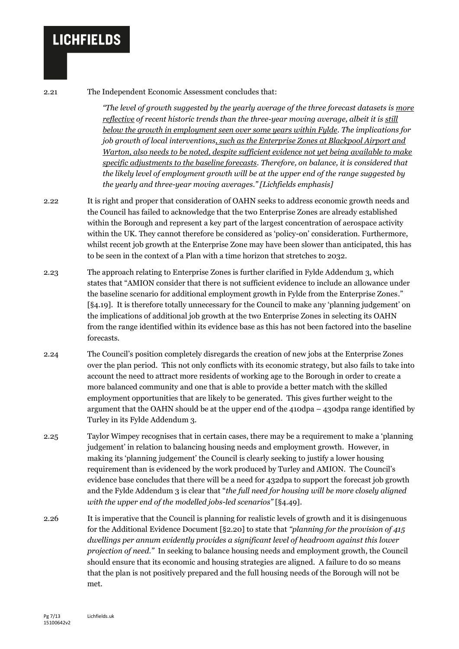2.21 The Independent Economic Assessment concludes that:

*"The level of growth suggested by the yearly average of the three forecast datasets is more reflective of recent historic trends than the three-year moving average, albeit it is still below the growth in employment seen over some years within Fylde. The implications for job growth of local interventions, such as the Enterprise Zones at Blackpool Airport and Warton, also needs to be noted, despite sufficient evidence not yet being available to make specific adjustments to the baseline forecasts. Therefore, on balance, it is considered that the likely level of employment growth will be at the upper end of the range suggested by the yearly and three-year moving averages." [Lichfields emphasis]*

2.22 It is right and proper that consideration of OAHN seeks to address economic growth needs and the Council has failed to acknowledge that the two Enterprise Zones are already established within the Borough and represent a key part of the largest concentration of aerospace activity within the UK. They cannot therefore be considered as 'policy-on' consideration. Furthermore, whilst recent job growth at the Enterprise Zone may have been slower than anticipated, this has to be seen in the context of a Plan with a time horizon that stretches to 2032.

2.23 The approach relating to Enterprise Zones is further clarified in Fylde Addendum 3, which states that "AMION consider that there is not sufficient evidence to include an allowance under the baseline scenario for additional employment growth in Fylde from the Enterprise Zones." [§4.19]. It is therefore totally unnecessary for the Council to make any 'planning judgement' on the implications of additional job growth at the two Enterprise Zones in selecting its OAHN from the range identified within its evidence base as this has not been factored into the baseline forecasts.

2.24 The Council's position completely disregards the creation of new jobs at the Enterprise Zones over the plan period. This not only conflicts with its economic strategy, but also fails to take into account the need to attract more residents of working age to the Borough in order to create a more balanced community and one that is able to provide a better match with the skilled employment opportunities that are likely to be generated. This gives further weight to the argument that the OAHN should be at the upper end of the 410dpa – 430dpa range identified by Turley in its Fylde Addendum 3.

2.25 Taylor Wimpey recognises that in certain cases, there may be a requirement to make a 'planning judgement' in relation to balancing housing needs and employment growth. However, in making its 'planning judgement' the Council is clearly seeking to justify a lower housing requirement than is evidenced by the work produced by Turley and AMION. The Council's evidence base concludes that there will be a need for 432dpa to support the forecast job growth and the Fylde Addendum 3 is clear that "*the full need for housing will be more closely aligned with the upper end of the modelled jobs-led scenarios"* [§4.49].

2.26 It is imperative that the Council is planning for realistic levels of growth and it is disingenuous for the Additional Evidence Document [§2.20] to state that *"planning for the provision of 415 dwellings per annum evidently provides a significant level of headroom against this lower projection of need."* In seeking to balance housing needs and employment growth, the Council should ensure that its economic and housing strategies are aligned. A failure to do so means that the plan is not positively prepared and the full housing needs of the Borough will not be met.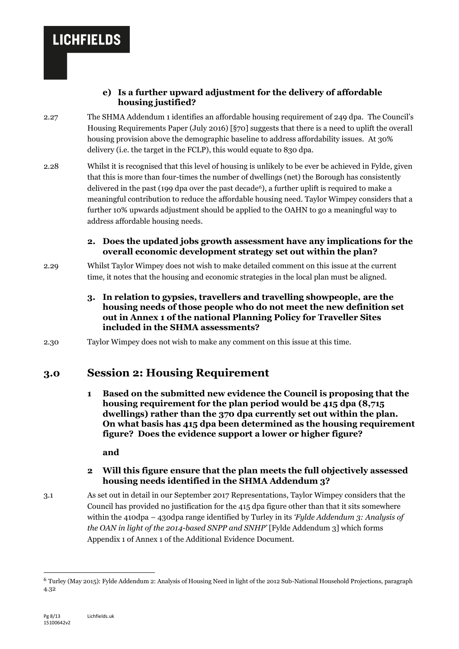#### **e) Is a further upward adjustment for the delivery of affordable housing justified?**

- 2.27 The SHMA Addendum 1 identifies an affordable housing requirement of 249 dpa. The Council's Housing Requirements Paper (July 2016) [§70] suggests that there is a need to uplift the overall housing provision above the demographic baseline to address affordability issues. At 30% delivery (i.e. the target in the FCLP), this would equate to 830 dpa.
- 2.28 Whilst it is recognised that this level of housing is unlikely to be ever be achieved in Fylde, given that this is more than four-times the number of dwellings (net) the Borough has consistently delivered in the past  $(199$  dpa over the past decade<sup>6</sup>), a further uplift is required to make a meaningful contribution to reduce the affordable housing need. Taylor Wimpey considers that a further 10% upwards adjustment should be applied to the OAHN to go a meaningful way to address affordable housing needs.

#### **2. Does the updated jobs growth assessment have any implications for the overall economic development strategy set out within the plan?**

- 2.29 Whilst Taylor Wimpey does not wish to make detailed comment on this issue at the current time, it notes that the housing and economic strategies in the local plan must be aligned.
	- **3. In relation to gypsies, travellers and travelling showpeople, are the housing needs of those people who do not meet the new definition set out in Annex 1 of the national Planning Policy for Traveller Sites included in the SHMA assessments?**
- 2.30 Taylor Wimpey does not wish to make any comment on this issue at this time.

### **3.0 Session 2: Housing Requirement**

**1 Based on the submitted new evidence the Council is proposing that the housing requirement for the plan period would be 415 dpa (8,715 dwellings) rather than the 370 dpa currently set out within the plan. On what basis has 415 dpa been determined as the housing requirement figure? Does the evidence support a lower or higher figure?**

**and**

#### **2 Will this figure ensure that the plan meets the full objectively assessed housing needs identified in the SHMA Addendum 3?**

3.1 As set out in detail in our September 2017 Representations, Taylor Wimpey considers that the Council has provided no justification for the 415 dpa figure other than that it sits somewhere within the 410dpa – 430dpa range identified by Turley in its *'Fylde Addendum 3: Analysis of the OAN in light of the 2014-based SNPP and SNHP'* [Fylde Addendum 3] which forms Appendix 1 of Annex 1 of the Additional Evidence Document.

1

<sup>6</sup> Turley (May 2015): Fylde Addendum 2: Analysis of Housing Need in light of the 2012 Sub-National Household Projections, paragraph 4.32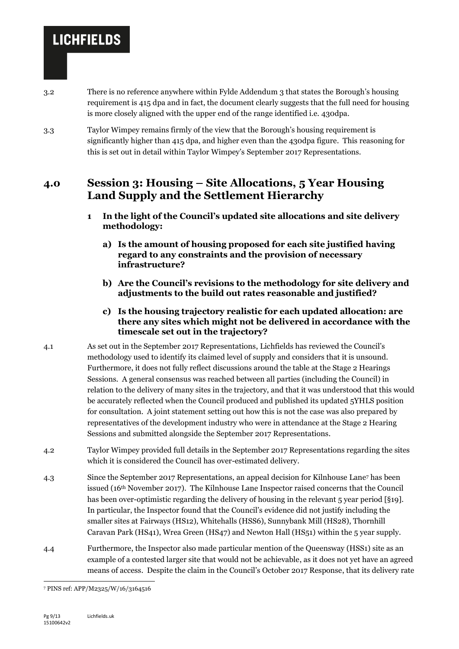- 3.2 There is no reference anywhere within Fylde Addendum 3 that states the Borough's housing requirement is 415 dpa and in fact, the document clearly suggests that the full need for housing is more closely aligned with the upper end of the range identified i.e. 430dpa.
- 3.3 Taylor Wimpey remains firmly of the view that the Borough's housing requirement is significantly higher than 415 dpa, and higher even than the 430dpa figure. This reasoning for this is set out in detail within Taylor Wimpey's September 2017 Representations.

### **4.0 Session 3: Housing – Site Allocations, 5 Year Housing Land Supply and the Settlement Hierarchy**

- **1 In the light of the Council's updated site allocations and site delivery methodology:**
	- **a) Is the amount of housing proposed for each site justified having regard to any constraints and the provision of necessary infrastructure?**
	- **b) Are the Council's revisions to the methodology for site delivery and adjustments to the build out rates reasonable and justified?**
	- **c) Is the housing trajectory realistic for each updated allocation: are there any sites which might not be delivered in accordance with the timescale set out in the trajectory?**
- 4.1 As set out in the September 2017 Representations, Lichfields has reviewed the Council's methodology used to identify its claimed level of supply and considers that it is unsound. Furthermore, it does not fully reflect discussions around the table at the Stage 2 Hearings Sessions. A general consensus was reached between all parties (including the Council) in relation to the delivery of many sites in the trajectory, and that it was understood that this would be accurately reflected when the Council produced and published its updated 5YHLS position for consultation. A joint statement setting out how this is not the case was also prepared by representatives of the development industry who were in attendance at the Stage 2 Hearing Sessions and submitted alongside the September 2017 Representations.
- 4.2 Taylor Wimpey provided full details in the September 2017 Representations regarding the sites which it is considered the Council has over-estimated delivery.
- 4.3 Since the September 2017 Representations, an appeal decision for Kilnhouse Lane<sup>7</sup> has been issued (16th November 2017). The Kilnhouse Lane Inspector raised concerns that the Council has been over-optimistic regarding the delivery of housing in the relevant 5 year period [§19]. In particular, the Inspector found that the Council's evidence did not justify including the smaller sites at Fairways (HS12), Whitehalls (HSS6), Sunnybank Mill (HS28), Thornhill Caravan Park (HS41), Wrea Green (HS47) and Newton Hall (HS51) within the 5 year supply.
- 4.4 Furthermore, the Inspector also made particular mention of the Queensway (HSS1) site as an example of a contested larger site that would not be achievable, as it does not yet have an agreed means of access. Despite the claim in the Council's October 2017 Response, that its delivery rate

<sup>-</sup><sup>7</sup> PINS ref: APP/M2325/W/16/3164516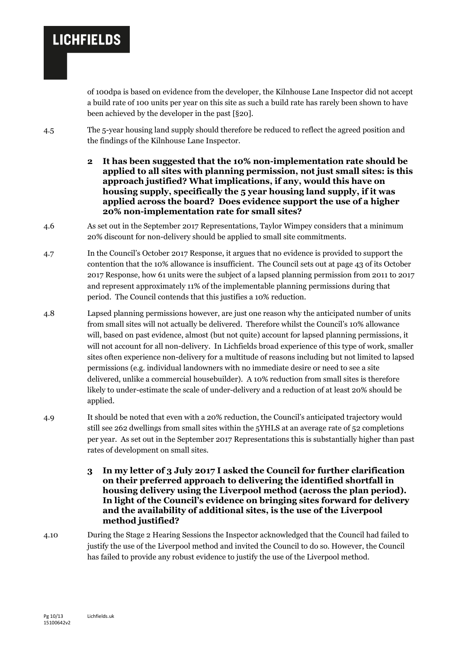of 100dpa is based on evidence from the developer, the Kilnhouse Lane Inspector did not accept a build rate of 100 units per year on this site as such a build rate has rarely been shown to have been achieved by the developer in the past [§20].

- 4.5 The 5-year housing land supply should therefore be reduced to reflect the agreed position and the findings of the Kilnhouse Lane Inspector.
	- **2 It has been suggested that the 10% non-implementation rate should be applied to all sites with planning permission, not just small sites: is this approach justified? What implications, if any, would this have on housing supply, specifically the 5 year housing land supply, if it was applied across the board? Does evidence support the use of a higher 20% non-implementation rate for small sites?**
- 4.6 As set out in the September 2017 Representations, Taylor Wimpey considers that a minimum 20% discount for non-delivery should be applied to small site commitments.
- 4.7 In the Council's October 2017 Response, it argues that no evidence is provided to support the contention that the 10% allowance is insufficient. The Council sets out at page 43 of its October 2017 Response, how 61 units were the subject of a lapsed planning permission from 2011 to 2017 and represent approximately 11% of the implementable planning permissions during that period. The Council contends that this justifies a 10% reduction.
- 4.8 Lapsed planning permissions however, are just one reason why the anticipated number of units from small sites will not actually be delivered. Therefore whilst the Council's 10% allowance will, based on past evidence, almost (but not quite) account for lapsed planning permissions, it will not account for all non-delivery. In Lichfields broad experience of this type of work, smaller sites often experience non-delivery for a multitude of reasons including but not limited to lapsed permissions (e.g. individual landowners with no immediate desire or need to see a site delivered, unlike a commercial housebuilder). A 10% reduction from small sites is therefore likely to under-estimate the scale of under-delivery and a reduction of at least 20% should be applied.
- 4.9 It should be noted that even with a 20% reduction, the Council's anticipated trajectory would still see 262 dwellings from small sites within the 5YHLS at an average rate of 52 completions per year. As set out in the September 2017 Representations this is substantially higher than past rates of development on small sites.
	- **3 In my letter of 3 July 2017 I asked the Council for further clarification on their preferred approach to delivering the identified shortfall in housing delivery using the Liverpool method (across the plan period). In light of the Council's evidence on bringing sites forward for delivery and the availability of additional sites, is the use of the Liverpool method justified?**
- 4.10 During the Stage 2 Hearing Sessions the Inspector acknowledged that the Council had failed to justify the use of the Liverpool method and invited the Council to do so. However, the Council has failed to provide any robust evidence to justify the use of the Liverpool method.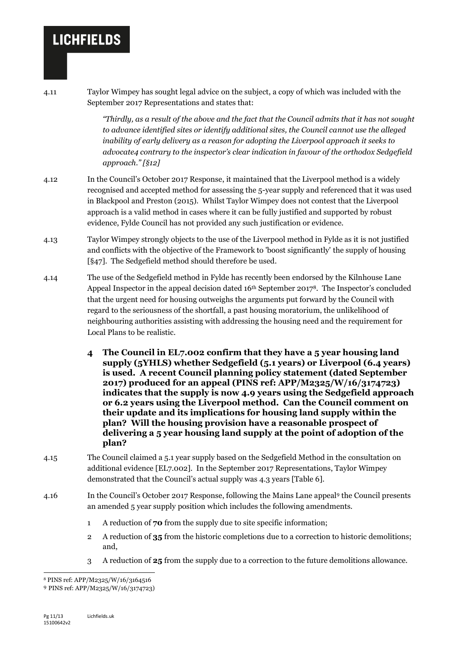4.11 Taylor Wimpey has sought legal advice on the subject, a copy of which was included with the September 2017 Representations and states that:

> *"Thirdly, as a result of the above and the fact that the Council admits that it has not sought to advance identified sites or identify additional sites, the Council cannot use the alleged inability of early delivery as a reason for adopting the Liverpool approach it seeks to advocate4 contrary to the inspector's clear indication in favour of the orthodox Sedgefield approach." [§12]*

- 4.12 In the Council's October 2017 Response, it maintained that the Liverpool method is a widely recognised and accepted method for assessing the 5-year supply and referenced that it was used in Blackpool and Preston (2015). Whilst Taylor Wimpey does not contest that the Liverpool approach is a valid method in cases where it can be fully justified and supported by robust evidence, Fylde Council has not provided any such justification or evidence.
- 4.13 Taylor Wimpey strongly objects to the use of the Liverpool method in Fylde as it is not justified and conflicts with the objective of the Framework to 'boost significantly' the supply of housing [§47]. The Sedgefield method should therefore be used.
- 4.14 The use of the Sedgefield method in Fylde has recently been endorsed by the Kilnhouse Lane Appeal Inspector in the appeal decision dated  $16<sup>th</sup>$  September 2017<sup>8</sup>. The Inspector's concluded that the urgent need for housing outweighs the arguments put forward by the Council with regard to the seriousness of the shortfall, a past housing moratorium, the unlikelihood of neighbouring authorities assisting with addressing the housing need and the requirement for Local Plans to be realistic.
	- **4 The Council in EL7.002 confirm that they have a 5 year housing land supply (5YHLS) whether Sedgefield (5.1 years) or Liverpool (6.4 years) is used. A recent Council planning policy statement (dated September 2017) produced for an appeal (PINS ref: APP/M2325/W/16/3174723) indicates that the supply is now 4.9 years using the Sedgefield approach or 6.2 years using the Liverpool method. Can the Council comment on their update and its implications for housing land supply within the plan? Will the housing provision have a reasonable prospect of delivering a 5 year housing land supply at the point of adoption of the plan?**
- 4.15 The Council claimed a 5.1 year supply based on the Sedgefield Method in the consultation on additional evidence [EL7.002]. In the September 2017 Representations, Taylor Wimpey demonstrated that the Council's actual supply was 4.3 years [Table 6].
- 4.16 In the Council's October 2017 Response, following the Mains Lane appeal<sup>9</sup> the Council presents an amended 5 year supply position which includes the following amendments.
	- 1 A reduction of **70** from the supply due to site specific information;
	- 2 A reduction of **35** from the historic completions due to a correction to historic demolitions; and,
	- 3 A reduction of **25** from the supply due to a correction to the future demolitions allowance.

<sup>1</sup> <sup>8</sup> PINS ref: APP/M2325/W/16/3164516

<sup>9</sup> PINS ref: APP/M2325/W/16/3174723)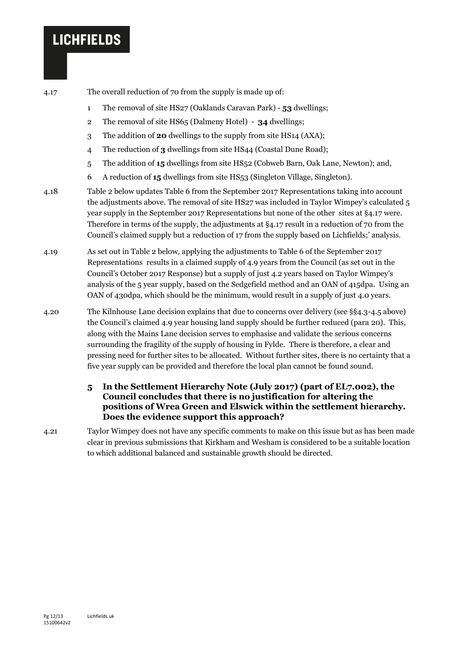4.17 The overall reduction of 70 from the supply is made up of:

- 1 The removal of site HS27 (Oaklands Caravan Park) **53** dwellings;
- 2 The removal of site HS65 (Dalmeny Hotel) **34** dwellings;
- 3 The addition of **20** dwellings to the supply from site HS14 (AXA);
- 4 The reduction of **3** dwellings from site HS44 (Coastal Dune Road);
- 5 The addition of **15** dwellings from site HS52 (Cobweb Barn, Oak Lane, Newton); and,
- 6 A reduction of **15** dwellings from site HS53 (Singleton Village, Singleton).
- 4.18 Table 2 below updates Table 6 from the September 2017 Representations taking into account the adjustments above. The removal of site HS27 was included in Taylor Wimpey's calculated 5 year supply in the September 2017 Representations but none of the other sites at §4.17 were. Therefore in terms of the supply, the adjustments at §4.17 result in a reduction of 70 from the Council's claimed supply but a reduction of 17 from the supply based on Lichfields;' analysis.
- 4.19 As set out in Table 2 below, applying the adjustments to Table 6 of the September 2017 Representations results in a claimed supply of 4.9 years from the Council (as set out in the Council's October 2017 Response) but a supply of just 4.2 years based on Taylor Wimpey's analysis of the 5 year supply, based on the Sedgefield method and an OAN of 415dpa. Using an OAN of 430dpa, which should be the minimum, would result in a supply of just 4.0 years.
- 4.20 The Kilnhouse Lane decision explains that due to concerns over delivery (see §§4.3-4.5 above) the Council's claimed 4.9 year housing land supply should be further reduced (para 20). This, along with the Mains Lane decision serves to emphasise and validate the serious concerns surrounding the fragility of the supply of housing in Fylde. There is therefore, a clear and pressing need for further sites to be allocated. Without further sites, there is no certainty that a five year supply can be provided and therefore the local plan cannot be found sound.
	- **5 In the Settlement Hierarchy Note (July 2017) (part of EL7.002), the Council concludes that there is no justification for altering the positions of Wrea Green and Elswick within the settlement hierarchy. Does the evidence support this approach?**
- 4.21 Taylor Wimpey does not have any specific comments to make on this issue but as has been made clear in previous submissions that Kirkham and Wesham is considered to be a suitable location to which additional balanced and sustainable growth should be directed.